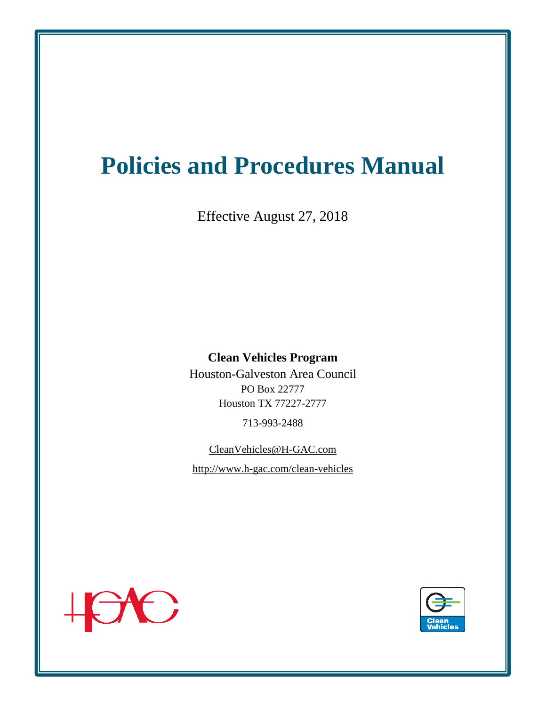# **Policies and Procedures Manual**

Effective August 27, 2018

#### **Clean Vehicles Program**

Houston-Galveston Area Council PO Box 22777 Houston TX 77227-2777

713-993-2488

CleanVehicles@H-GAC.com http://www.h-gac.com/clean-vehicles



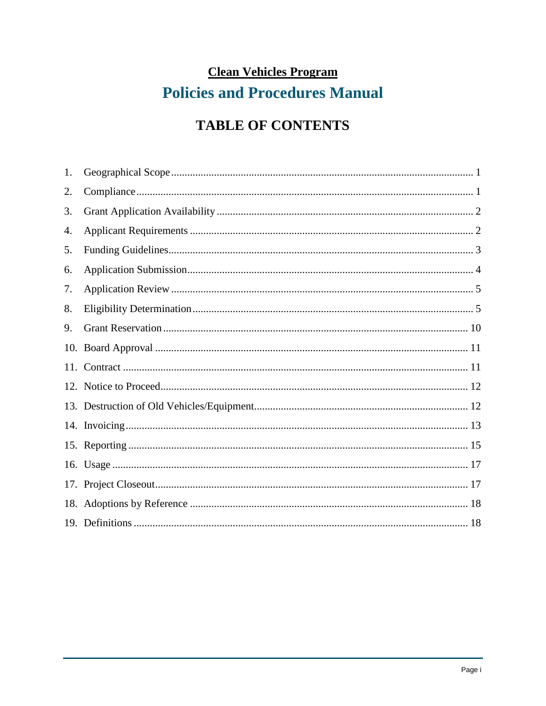## **Clean Vehicles Program Policies and Procedures Manual**

## **TABLE OF CONTENTS**

| 1. |  |
|----|--|
| 2. |  |
| 3. |  |
| 4. |  |
| 5. |  |
| 6. |  |
| 7. |  |
| 8. |  |
| 9. |  |
|    |  |
|    |  |
|    |  |
|    |  |
|    |  |
|    |  |
|    |  |
|    |  |
|    |  |
|    |  |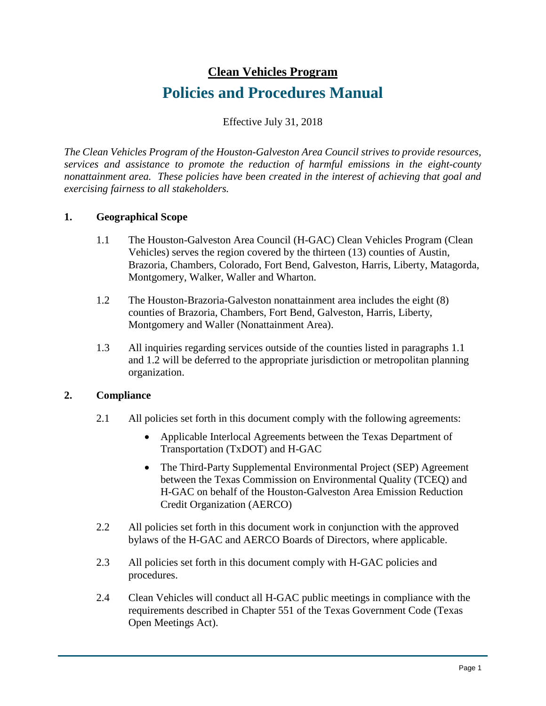#### **Clean Vehicles Program**

### **Policies and Procedures Manual**

Effective July 31, 2018

*The Clean Vehicles Program of the Houston-Galveston Area Council strives to provide resources, services and assistance to promote the reduction of harmful emissions in the eight-county nonattainment area. These policies have been created in the interest of achieving that goal and exercising fairness to all stakeholders.*

#### **1. Geographical Scope**

- 1.1 The Houston-Galveston Area Council (H-GAC) Clean Vehicles Program (Clean Vehicles) serves the region covered by the thirteen (13) counties of Austin, Brazoria, Chambers, Colorado, Fort Bend, Galveston, Harris, Liberty, Matagorda, Montgomery, Walker, Waller and Wharton.
- 1.2 The Houston-Brazoria-Galveston nonattainment area includes the eight (8) counties of Brazoria, Chambers, Fort Bend, Galveston, Harris, Liberty, Montgomery and Waller (Nonattainment Area).
- 1.3 All inquiries regarding services outside of the counties listed in paragraphs 1.1 and 1.2 will be deferred to the appropriate jurisdiction or metropolitan planning organization.

#### **2. Compliance**

- 2.1 All policies set forth in this document comply with the following agreements:
	- Applicable Interlocal Agreements between the Texas Department of Transportation (TxDOT) and H-GAC
	- The Third-Party Supplemental Environmental Project (SEP) Agreement between the Texas Commission on Environmental Quality (TCEQ) and H-GAC on behalf of the Houston-Galveston Area Emission Reduction Credit Organization (AERCO)
- 2.2 All policies set forth in this document work in conjunction with the approved bylaws of the H-GAC and AERCO Boards of Directors, where applicable.
- 2.3 All policies set forth in this document comply with H-GAC policies and procedures.
- 2.4 Clean Vehicles will conduct all H-GAC public meetings in compliance with the requirements described in Chapter 551 of the Texas Government Code (Texas Open Meetings Act).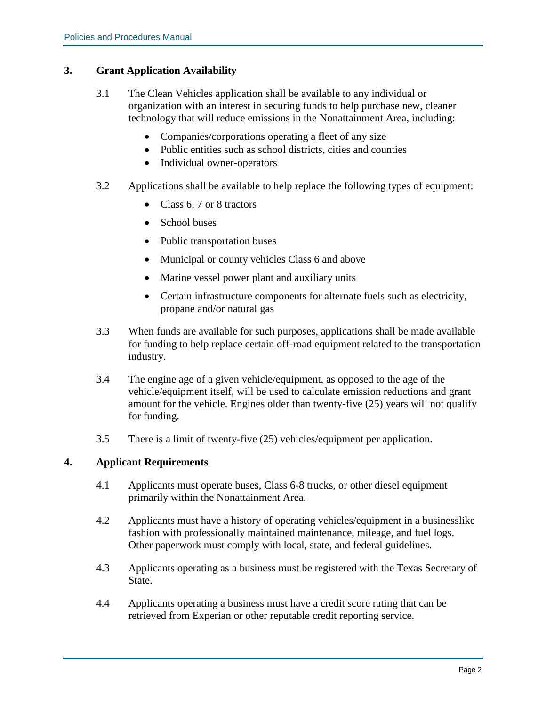#### **3. Grant Application Availability**

- 3.1 The Clean Vehicles application shall be available to any individual or organization with an interest in securing funds to help purchase new, cleaner technology that will reduce emissions in the Nonattainment Area, including:
	- Companies/corporations operating a fleet of any size
	- Public entities such as school districts, cities and counties
	- Individual owner-operators
- 3.2 Applications shall be available to help replace the following types of equipment:
	- Class 6, 7 or 8 tractors
	- School buses
	- Public transportation buses
	- Municipal or county vehicles Class 6 and above
	- Marine vessel power plant and auxiliary units
	- Certain infrastructure components for alternate fuels such as electricity, propane and/or natural gas
- 3.3 When funds are available for such purposes, applications shall be made available for funding to help replace certain off-road equipment related to the transportation industry.
- 3.4 The engine age of a given vehicle/equipment, as opposed to the age of the vehicle/equipment itself, will be used to calculate emission reductions and grant amount for the vehicle. Engines older than twenty-five (25) years will not qualify for funding.
- 3.5 There is a limit of twenty-five (25) vehicles/equipment per application.

#### **4. Applicant Requirements**

- 4.1 Applicants must operate buses, Class 6-8 trucks, or other diesel equipment primarily within the Nonattainment Area.
- 4.2 Applicants must have a history of operating vehicles/equipment in a businesslike fashion with professionally maintained maintenance, mileage, and fuel logs. Other paperwork must comply with local, state, and federal guidelines.
- 4.3 Applicants operating as a business must be registered with the Texas Secretary of State.
- 4.4 Applicants operating a business must have a credit score rating that can be retrieved from Experian or other reputable credit reporting service.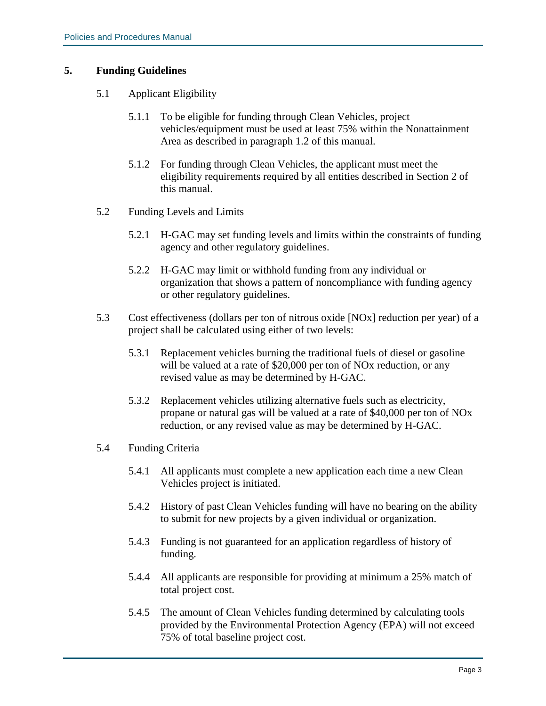#### **5. Funding Guidelines**

- 5.1 Applicant Eligibility
	- 5.1.1 To be eligible for funding through Clean Vehicles, project vehicles/equipment must be used at least 75% within the Nonattainment Area as described in paragraph 1.2 of this manual.
	- 5.1.2 For funding through Clean Vehicles, the applicant must meet the eligibility requirements required by all entities described in Section 2 of this manual.
- 5.2 Funding Levels and Limits
	- 5.2.1 H-GAC may set funding levels and limits within the constraints of funding agency and other regulatory guidelines.
	- 5.2.2 H-GAC may limit or withhold funding from any individual or organization that shows a pattern of noncompliance with funding agency or other regulatory guidelines.
- 5.3 Cost effectiveness (dollars per ton of nitrous oxide [NOx] reduction per year) of a project shall be calculated using either of two levels:
	- 5.3.1 Replacement vehicles burning the traditional fuels of diesel or gasoline will be valued at a rate of \$20,000 per ton of NOx reduction, or any revised value as may be determined by H-GAC.
	- 5.3.2 Replacement vehicles utilizing alternative fuels such as electricity, propane or natural gas will be valued at a rate of \$40,000 per ton of NOx reduction, or any revised value as may be determined by H-GAC.
- 5.4 Funding Criteria
	- 5.4.1 All applicants must complete a new application each time a new Clean Vehicles project is initiated.
	- 5.4.2 History of past Clean Vehicles funding will have no bearing on the ability to submit for new projects by a given individual or organization.
	- 5.4.3 Funding is not guaranteed for an application regardless of history of funding.
	- 5.4.4 All applicants are responsible for providing at minimum a 25% match of total project cost.
	- 5.4.5 The amount of Clean Vehicles funding determined by calculating tools provided by the Environmental Protection Agency (EPA) will not exceed 75% of total baseline project cost.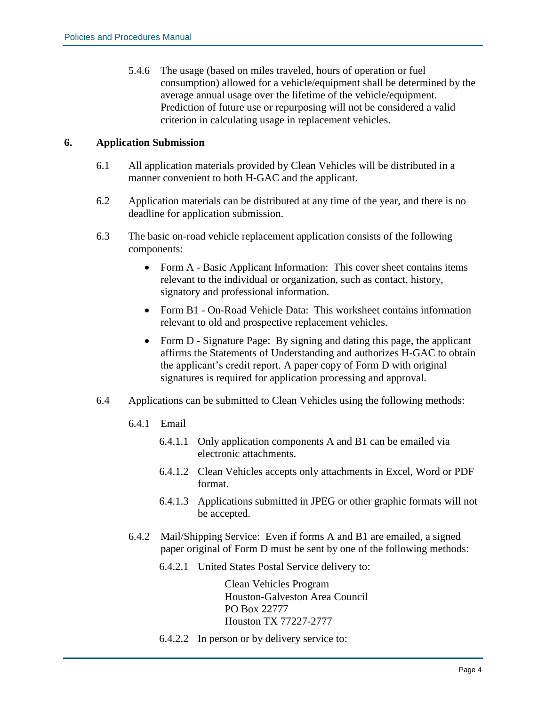5.4.6 The usage (based on miles traveled, hours of operation or fuel consumption) allowed for a vehicle/equipment shall be determined by the average annual usage over the lifetime of the vehicle/equipment. Prediction of future use or repurposing will not be considered a valid criterion in calculating usage in replacement vehicles.

#### **6. Application Submission**

- 6.1 All application materials provided by Clean Vehicles will be distributed in a manner convenient to both H-GAC and the applicant.
- 6.2 Application materials can be distributed at any time of the year, and there is no deadline for application submission.
- 6.3 The basic on-road vehicle replacement application consists of the following components:
	- Form A Basic Applicant Information: This cover sheet contains items relevant to the individual or organization, such as contact, history, signatory and professional information.
	- Form B1 On-Road Vehicle Data: This worksheet contains information relevant to old and prospective replacement vehicles.
	- Form D Signature Page: By signing and dating this page, the applicant affirms the Statements of Understanding and authorizes H-GAC to obtain the applicant's credit report. A paper copy of Form D with original signatures is required for application processing and approval.
- 6.4 Applications can be submitted to Clean Vehicles using the following methods:
	- 6.4.1 Email
		- 6.4.1.1 Only application components A and B1 can be emailed via electronic attachments.
		- 6.4.1.2 Clean Vehicles accepts only attachments in Excel, Word or PDF format.
		- 6.4.1.3 Applications submitted in JPEG or other graphic formats will not be accepted.
	- 6.4.2 Mail/Shipping Service: Even if forms A and B1 are emailed, a signed paper original of Form D must be sent by one of the following methods:
		- 6.4.2.1 United States Postal Service delivery to:

Clean Vehicles Program Houston-Galveston Area Council PO Box 22777 Houston TX 77227-2777

6.4.2.2 In person or by delivery service to: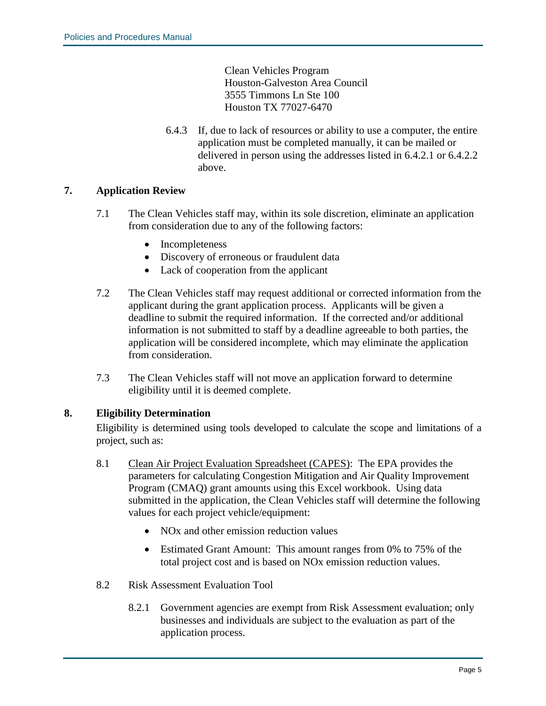Clean Vehicles Program Houston-Galveston Area Council 3555 Timmons Ln Ste 100 Houston TX 77027-6470

6.4.3 If, due to lack of resources or ability to use a computer, the entire application must be completed manually, it can be mailed or delivered in person using the addresses listed in 6.4.2.1 or 6.4.2.2 above.

#### **7. Application Review**

- 7.1 The Clean Vehicles staff may, within its sole discretion, eliminate an application from consideration due to any of the following factors:
	- Incompleteness
	- Discovery of erroneous or fraudulent data
	- Lack of cooperation from the applicant
- 7.2 The Clean Vehicles staff may request additional or corrected information from the applicant during the grant application process. Applicants will be given a deadline to submit the required information. If the corrected and/or additional information is not submitted to staff by a deadline agreeable to both parties, the application will be considered incomplete, which may eliminate the application from consideration.
- 7.3 The Clean Vehicles staff will not move an application forward to determine eligibility until it is deemed complete.

#### **8. Eligibility Determination**

Eligibility is determined using tools developed to calculate the scope and limitations of a project, such as:

- 8.1 Clean Air Project Evaluation Spreadsheet (CAPES): The EPA provides the parameters for calculating Congestion Mitigation and Air Quality Improvement Program (CMAQ) grant amounts using this Excel workbook. Using data submitted in the application, the Clean Vehicles staff will determine the following values for each project vehicle/equipment:
	- NO<sub>x</sub> and other emission reduction values
	- Estimated Grant Amount: This amount ranges from 0% to 75% of the total project cost and is based on NOx emission reduction values.
- 8.2 Risk Assessment Evaluation Tool
	- 8.2.1 Government agencies are exempt from Risk Assessment evaluation; only businesses and individuals are subject to the evaluation as part of the application process.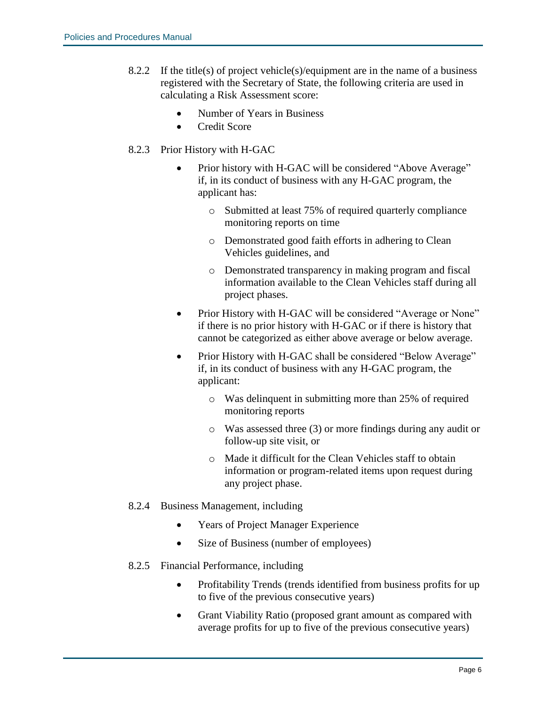- 8.2.2 If the title(s) of project vehicle(s)/equipment are in the name of a business registered with the Secretary of State, the following criteria are used in calculating a Risk Assessment score:
	- Number of Years in Business
	- Credit Score

#### 8.2.3 Prior History with H-GAC

- Prior history with H-GAC will be considered "Above Average" if, in its conduct of business with any H-GAC program, the applicant has:
	- o Submitted at least 75% of required quarterly compliance monitoring reports on time
	- o Demonstrated good faith efforts in adhering to Clean Vehicles guidelines, and
	- o Demonstrated transparency in making program and fiscal information available to the Clean Vehicles staff during all project phases.
- Prior History with H-GAC will be considered "Average or None" if there is no prior history with H-GAC or if there is history that cannot be categorized as either above average or below average.
- Prior History with H-GAC shall be considered "Below Average" if, in its conduct of business with any H-GAC program, the applicant:
	- o Was delinquent in submitting more than 25% of required monitoring reports
	- o Was assessed three (3) or more findings during any audit or follow-up site visit, or
	- o Made it difficult for the Clean Vehicles staff to obtain information or program-related items upon request during any project phase.

#### 8.2.4 Business Management, including

- Years of Project Manager Experience
- Size of Business (number of employees)
- 8.2.5 Financial Performance, including
	- Profitability Trends (trends identified from business profits for up to five of the previous consecutive years)
	- Grant Viability Ratio (proposed grant amount as compared with average profits for up to five of the previous consecutive years)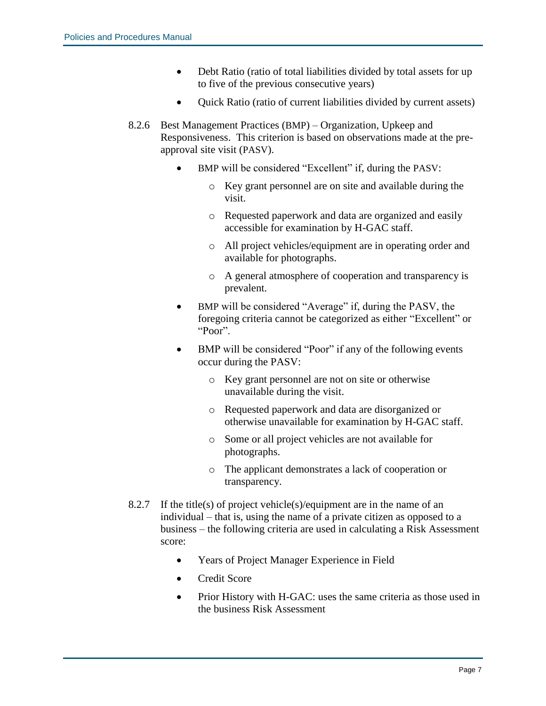- Debt Ratio (ratio of total liabilities divided by total assets for up to five of the previous consecutive years)
- Quick Ratio (ratio of current liabilities divided by current assets)
- 8.2.6 Best Management Practices (BMP) Organization, Upkeep and Responsiveness. This criterion is based on observations made at the preapproval site visit (PASV).
	- BMP will be considered "Excellent" if, during the PASV:
		- o Key grant personnel are on site and available during the visit.
		- o Requested paperwork and data are organized and easily accessible for examination by H-GAC staff.
		- o All project vehicles/equipment are in operating order and available for photographs.
		- o A general atmosphere of cooperation and transparency is prevalent.
	- BMP will be considered "Average" if, during the PASV, the foregoing criteria cannot be categorized as either "Excellent" or "Poor".
	- BMP will be considered "Poor" if any of the following events occur during the PASV:
		- o Key grant personnel are not on site or otherwise unavailable during the visit.
		- o Requested paperwork and data are disorganized or otherwise unavailable for examination by H-GAC staff.
		- o Some or all project vehicles are not available for photographs.
		- o The applicant demonstrates a lack of cooperation or transparency.
- 8.2.7 If the title(s) of project vehicle(s)/equipment are in the name of an individual – that is, using the name of a private citizen as opposed to a business – the following criteria are used in calculating a Risk Assessment score:
	- Years of Project Manager Experience in Field
	- Credit Score
	- Prior History with H-GAC: uses the same criteria as those used in the business Risk Assessment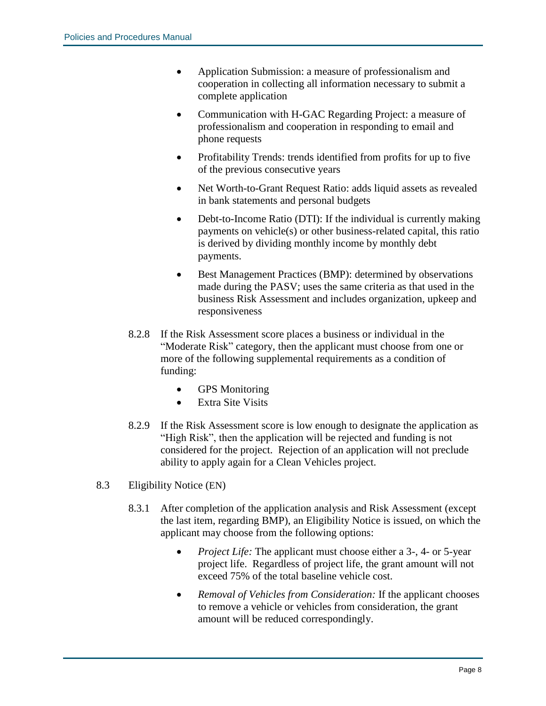- Application Submission: a measure of professionalism and cooperation in collecting all information necessary to submit a complete application
- Communication with H-GAC Regarding Project: a measure of professionalism and cooperation in responding to email and phone requests
- Profitability Trends: trends identified from profits for up to five of the previous consecutive years
- Net Worth-to-Grant Request Ratio: adds liquid assets as revealed in bank statements and personal budgets
- Debt-to-Income Ratio (DTI): If the individual is currently making payments on vehicle(s) or other business-related capital, this ratio is derived by dividing monthly income by monthly debt payments.
- Best Management Practices (BMP): determined by observations made during the PASV; uses the same criteria as that used in the business Risk Assessment and includes organization, upkeep and responsiveness
- 8.2.8 If the Risk Assessment score places a business or individual in the "Moderate Risk" category, then the applicant must choose from one or more of the following supplemental requirements as a condition of funding:
	- GPS Monitoring
	- Extra Site Visits
- 8.2.9 If the Risk Assessment score is low enough to designate the application as "High Risk", then the application will be rejected and funding is not considered for the project. Rejection of an application will not preclude ability to apply again for a Clean Vehicles project.
- 8.3 Eligibility Notice (EN)
	- 8.3.1 After completion of the application analysis and Risk Assessment (except the last item, regarding BMP), an Eligibility Notice is issued, on which the applicant may choose from the following options:
		- *Project Life:* The applicant must choose either a 3-, 4- or 5-year project life. Regardless of project life, the grant amount will not exceed 75% of the total baseline vehicle cost.
		- *Removal of Vehicles from Consideration:* If the applicant chooses to remove a vehicle or vehicles from consideration, the grant amount will be reduced correspondingly.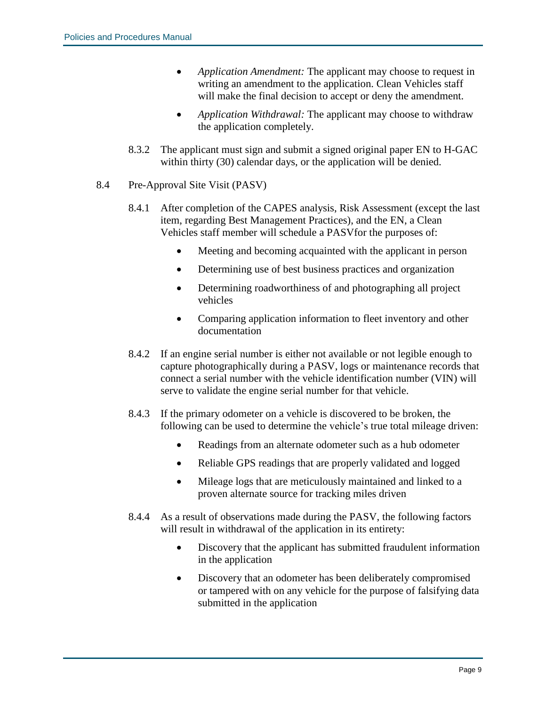- *Application Amendment:* The applicant may choose to request in writing an amendment to the application. Clean Vehicles staff will make the final decision to accept or deny the amendment.
- *Application Withdrawal:* The applicant may choose to withdraw the application completely.
- 8.3.2 The applicant must sign and submit a signed original paper EN to H-GAC within thirty (30) calendar days, or the application will be denied.
- 8.4 Pre-Approval Site Visit (PASV)
	- 8.4.1 After completion of the CAPES analysis, Risk Assessment (except the last item, regarding Best Management Practices), and the EN, a Clean Vehicles staff member will schedule a PASVfor the purposes of:
		- Meeting and becoming acquainted with the applicant in person
		- Determining use of best business practices and organization
		- Determining roadworthiness of and photographing all project vehicles
		- Comparing application information to fleet inventory and other documentation
	- 8.4.2 If an engine serial number is either not available or not legible enough to capture photographically during a PASV, logs or maintenance records that connect a serial number with the vehicle identification number (VIN) will serve to validate the engine serial number for that vehicle.
	- 8.4.3 If the primary odometer on a vehicle is discovered to be broken, the following can be used to determine the vehicle's true total mileage driven:
		- Readings from an alternate odometer such as a hub odometer
		- Reliable GPS readings that are properly validated and logged
		- Mileage logs that are meticulously maintained and linked to a proven alternate source for tracking miles driven
	- 8.4.4 As a result of observations made during the PASV, the following factors will result in withdrawal of the application in its entirety:
		- Discovery that the applicant has submitted fraudulent information in the application
		- Discovery that an odometer has been deliberately compromised or tampered with on any vehicle for the purpose of falsifying data submitted in the application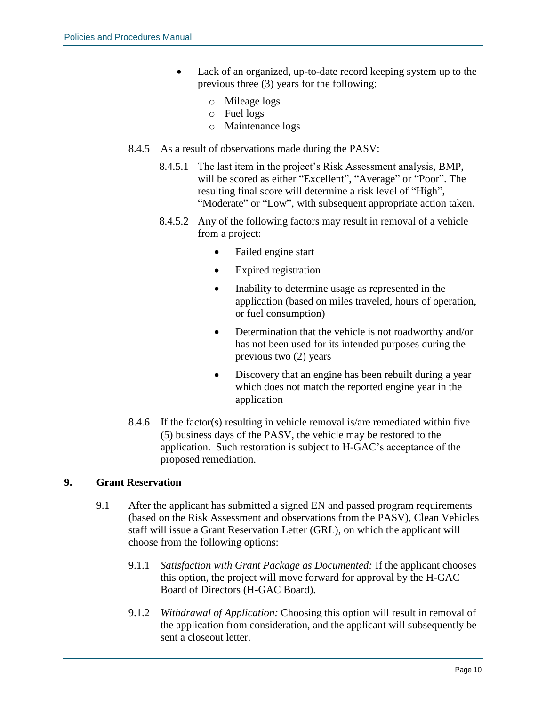- Lack of an organized, up-to-date record keeping system up to the previous three (3) years for the following:
	- o Mileage logs
	- o Fuel logs
	- o Maintenance logs
- 8.4.5 As a result of observations made during the PASV:
	- 8.4.5.1 The last item in the project's Risk Assessment analysis, BMP, will be scored as either "Excellent", "Average" or "Poor". The resulting final score will determine a risk level of "High", "Moderate" or "Low", with subsequent appropriate action taken.
	- 8.4.5.2 Any of the following factors may result in removal of a vehicle from a project:
		- Failed engine start
		- Expired registration
		- Inability to determine usage as represented in the application (based on miles traveled, hours of operation, or fuel consumption)
		- Determination that the vehicle is not roadworthy and/or has not been used for its intended purposes during the previous two (2) years
		- Discovery that an engine has been rebuilt during a year which does not match the reported engine year in the application
- 8.4.6 If the factor(s) resulting in vehicle removal is/are remediated within five (5) business days of the PASV, the vehicle may be restored to the application. Such restoration is subject to H-GAC's acceptance of the proposed remediation.

#### **9. Grant Reservation**

- 9.1 After the applicant has submitted a signed EN and passed program requirements (based on the Risk Assessment and observations from the PASV), Clean Vehicles staff will issue a Grant Reservation Letter (GRL), on which the applicant will choose from the following options:
	- 9.1.1 *Satisfaction with Grant Package as Documented:* If the applicant chooses this option, the project will move forward for approval by the H-GAC Board of Directors (H-GAC Board).
	- 9.1.2 *Withdrawal of Application:* Choosing this option will result in removal of the application from consideration, and the applicant will subsequently be sent a closeout letter.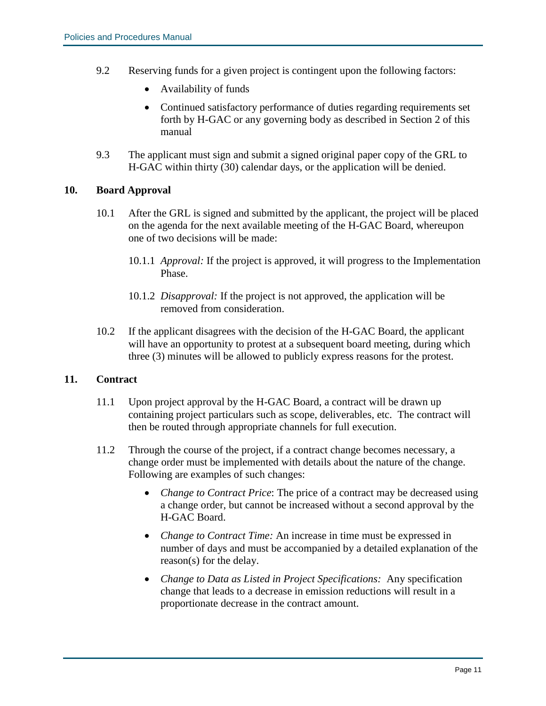- 9.2 Reserving funds for a given project is contingent upon the following factors:
	- Availability of funds
	- Continued satisfactory performance of duties regarding requirements set forth by H-GAC or any governing body as described in Section 2 of this manual
- 9.3 The applicant must sign and submit a signed original paper copy of the GRL to H-GAC within thirty (30) calendar days, or the application will be denied.

#### **10. Board Approval**

- 10.1 After the GRL is signed and submitted by the applicant, the project will be placed on the agenda for the next available meeting of the H-GAC Board, whereupon one of two decisions will be made:
	- 10.1.1 *Approval:* If the project is approved, it will progress to the Implementation Phase.
	- 10.1.2 *Disapproval:* If the project is not approved, the application will be removed from consideration.
- 10.2 If the applicant disagrees with the decision of the H-GAC Board, the applicant will have an opportunity to protest at a subsequent board meeting, during which three (3) minutes will be allowed to publicly express reasons for the protest.

#### **11. Contract**

- 11.1 Upon project approval by the H-GAC Board, a contract will be drawn up containing project particulars such as scope, deliverables, etc. The contract will then be routed through appropriate channels for full execution.
- 11.2 Through the course of the project, if a contract change becomes necessary, a change order must be implemented with details about the nature of the change. Following are examples of such changes:
	- *Change to Contract Price*: The price of a contract may be decreased using a change order, but cannot be increased without a second approval by the H-GAC Board.
	- *Change to Contract Time:* An increase in time must be expressed in number of days and must be accompanied by a detailed explanation of the reason(s) for the delay.
	- *Change to Data as Listed in Project Specifications:* Any specification change that leads to a decrease in emission reductions will result in a proportionate decrease in the contract amount.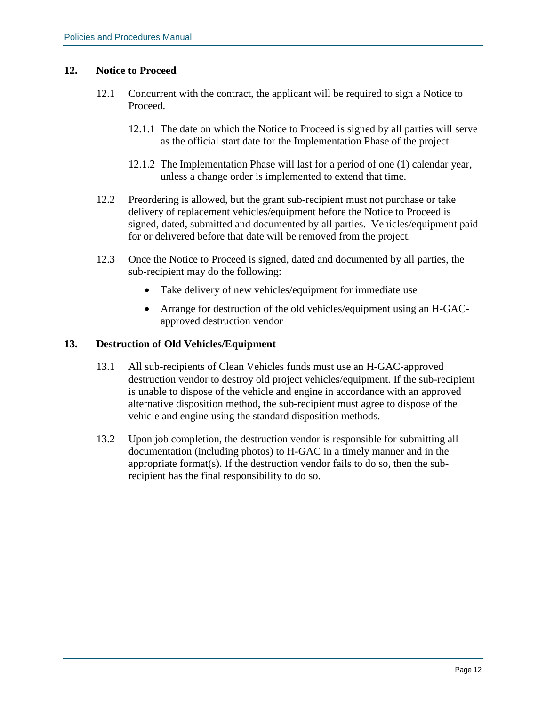#### **12. Notice to Proceed**

- 12.1 Concurrent with the contract, the applicant will be required to sign a Notice to Proceed.
	- 12.1.1 The date on which the Notice to Proceed is signed by all parties will serve as the official start date for the Implementation Phase of the project.
	- 12.1.2 The Implementation Phase will last for a period of one (1) calendar year, unless a change order is implemented to extend that time.
- 12.2 Preordering is allowed, but the grant sub-recipient must not purchase or take delivery of replacement vehicles/equipment before the Notice to Proceed is signed, dated, submitted and documented by all parties. Vehicles/equipment paid for or delivered before that date will be removed from the project.
- 12.3 Once the Notice to Proceed is signed, dated and documented by all parties, the sub-recipient may do the following:
	- Take delivery of new vehicles/equipment for immediate use
	- Arrange for destruction of the old vehicles/equipment using an H-GACapproved destruction vendor

#### **13. Destruction of Old Vehicles/Equipment**

- 13.1 All sub-recipients of Clean Vehicles funds must use an H-GAC-approved destruction vendor to destroy old project vehicles/equipment. If the sub-recipient is unable to dispose of the vehicle and engine in accordance with an approved alternative disposition method, the sub-recipient must agree to dispose of the vehicle and engine using the standard disposition methods.
- 13.2 Upon job completion, the destruction vendor is responsible for submitting all documentation (including photos) to H-GAC in a timely manner and in the appropriate format(s). If the destruction vendor fails to do so, then the subrecipient has the final responsibility to do so.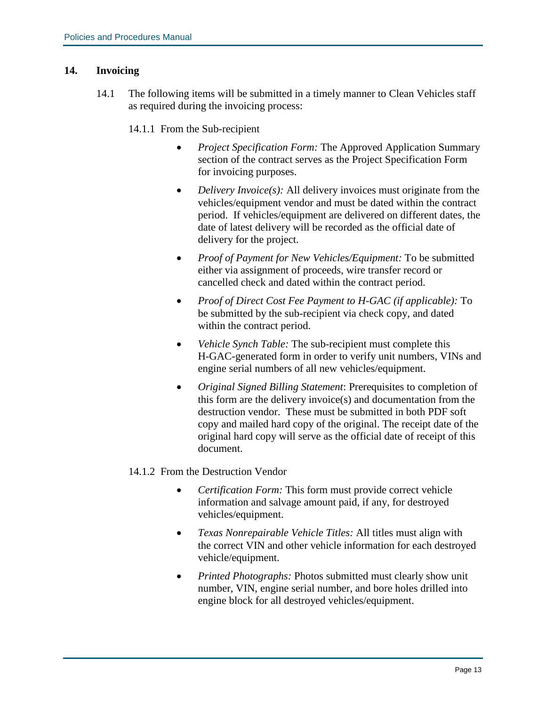#### **14. Invoicing**

14.1 The following items will be submitted in a timely manner to Clean Vehicles staff as required during the invoicing process:

#### 14.1.1 From the Sub-recipient

- *Project Specification Form:* The Approved Application Summary section of the contract serves as the Project Specification Form for invoicing purposes.
- *Delivery Invoice(s):* All delivery invoices must originate from the vehicles/equipment vendor and must be dated within the contract period. If vehicles/equipment are delivered on different dates, the date of latest delivery will be recorded as the official date of delivery for the project.
- *Proof of Payment for New Vehicles/Equipment:* To be submitted either via assignment of proceeds, wire transfer record or cancelled check and dated within the contract period.
- *Proof of Direct Cost Fee Payment to H-GAC (if applicable):* To be submitted by the sub-recipient via check copy, and dated within the contract period.
- *Vehicle Synch Table:* The sub-recipient must complete this H-GAC-generated form in order to verify unit numbers, VINs and engine serial numbers of all new vehicles/equipment.
- *Original Signed Billing Statement*: Prerequisites to completion of this form are the delivery invoice(s) and documentation from the destruction vendor. These must be submitted in both PDF soft copy and mailed hard copy of the original. The receipt date of the original hard copy will serve as the official date of receipt of this document.

#### 14.1.2 From the Destruction Vendor

- *Certification Form:* This form must provide correct vehicle information and salvage amount paid, if any, for destroyed vehicles/equipment.
- *Texas Nonrepairable Vehicle Titles:* All titles must align with the correct VIN and other vehicle information for each destroyed vehicle/equipment.
- *Printed Photographs:* Photos submitted must clearly show unit number, VIN, engine serial number, and bore holes drilled into engine block for all destroyed vehicles/equipment.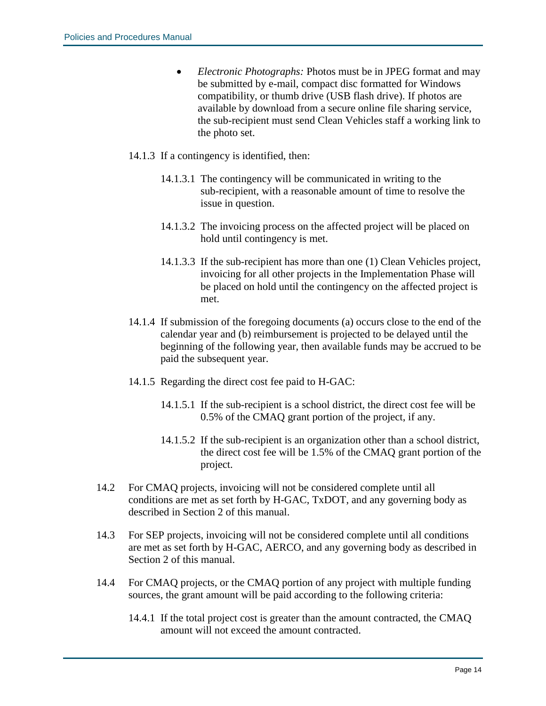- *Electronic Photographs:* Photos must be in JPEG format and may be submitted by e-mail, compact disc formatted for Windows compatibility, or thumb drive (USB flash drive). If photos are available by download from a secure online file sharing service, the sub-recipient must send Clean Vehicles staff a working link to the photo set.
- 14.1.3 If a contingency is identified, then:
	- 14.1.3.1 The contingency will be communicated in writing to the sub-recipient, with a reasonable amount of time to resolve the issue in question.
	- 14.1.3.2 The invoicing process on the affected project will be placed on hold until contingency is met.
	- 14.1.3.3 If the sub-recipient has more than one (1) Clean Vehicles project, invoicing for all other projects in the Implementation Phase will be placed on hold until the contingency on the affected project is met.
- 14.1.4 If submission of the foregoing documents (a) occurs close to the end of the calendar year and (b) reimbursement is projected to be delayed until the beginning of the following year, then available funds may be accrued to be paid the subsequent year.
- 14.1.5 Regarding the direct cost fee paid to H-GAC:
	- 14.1.5.1 If the sub-recipient is a school district, the direct cost fee will be 0.5% of the CMAQ grant portion of the project, if any.
	- 14.1.5.2 If the sub-recipient is an organization other than a school district, the direct cost fee will be 1.5% of the CMAQ grant portion of the project.
- 14.2 For CMAQ projects, invoicing will not be considered complete until all conditions are met as set forth by H-GAC, TxDOT, and any governing body as described in Section 2 of this manual.
- 14.3 For SEP projects, invoicing will not be considered complete until all conditions are met as set forth by H-GAC, AERCO, and any governing body as described in Section 2 of this manual.
- 14.4 For CMAQ projects, or the CMAQ portion of any project with multiple funding sources, the grant amount will be paid according to the following criteria:
	- 14.4.1 If the total project cost is greater than the amount contracted, the CMAQ amount will not exceed the amount contracted.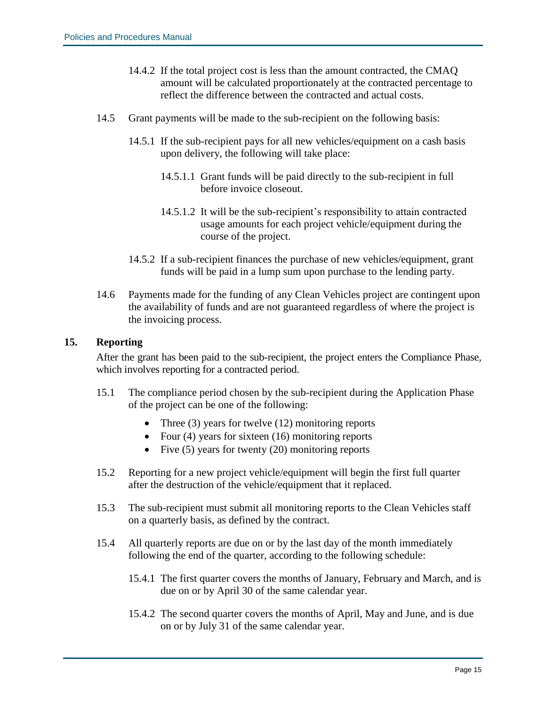- 14.4.2 If the total project cost is less than the amount contracted, the CMAQ amount will be calculated proportionately at the contracted percentage to reflect the difference between the contracted and actual costs.
- 14.5 Grant payments will be made to the sub-recipient on the following basis:
	- 14.5.1 If the sub-recipient pays for all new vehicles/equipment on a cash basis upon delivery, the following will take place:
		- 14.5.1.1 Grant funds will be paid directly to the sub-recipient in full before invoice closeout.
		- 14.5.1.2 It will be the sub-recipient's responsibility to attain contracted usage amounts for each project vehicle/equipment during the course of the project.
	- 14.5.2 If a sub-recipient finances the purchase of new vehicles/equipment, grant funds will be paid in a lump sum upon purchase to the lending party.
- 14.6 Payments made for the funding of any Clean Vehicles project are contingent upon the availability of funds and are not guaranteed regardless of where the project is the invoicing process.

#### **15. Reporting**

After the grant has been paid to the sub-recipient, the project enters the Compliance Phase, which involves reporting for a contracted period.

- 15.1 The compliance period chosen by the sub-recipient during the Application Phase of the project can be one of the following:
	- Three (3) years for twelve (12) monitoring reports
	- Four (4) years for sixteen (16) monitoring reports
	- Five (5) years for twenty (20) monitoring reports
- 15.2 Reporting for a new project vehicle/equipment will begin the first full quarter after the destruction of the vehicle/equipment that it replaced.
- 15.3 The sub-recipient must submit all monitoring reports to the Clean Vehicles staff on a quarterly basis, as defined by the contract.
- 15.4 All quarterly reports are due on or by the last day of the month immediately following the end of the quarter, according to the following schedule:
	- 15.4.1 The first quarter covers the months of January, February and March, and is due on or by April 30 of the same calendar year.
	- 15.4.2 The second quarter covers the months of April, May and June, and is due on or by July 31 of the same calendar year.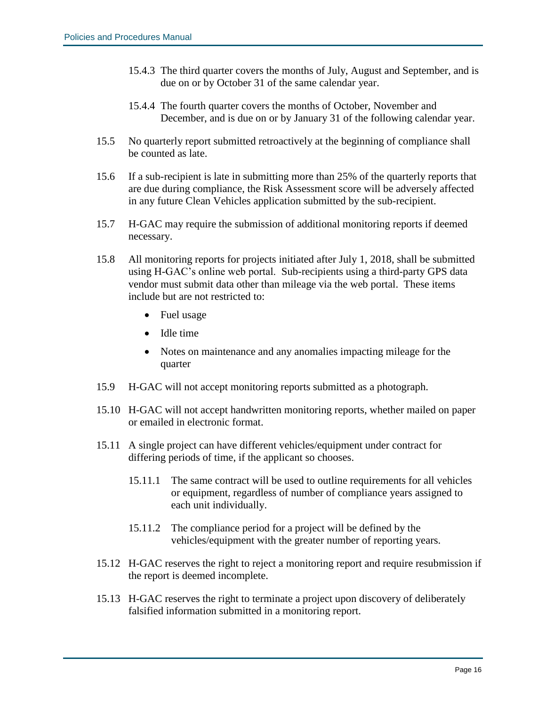- 15.4.3 The third quarter covers the months of July, August and September, and is due on or by October 31 of the same calendar year.
- 15.4.4 The fourth quarter covers the months of October, November and December, and is due on or by January 31 of the following calendar year.
- 15.5 No quarterly report submitted retroactively at the beginning of compliance shall be counted as late.
- 15.6 If a sub-recipient is late in submitting more than 25% of the quarterly reports that are due during compliance, the Risk Assessment score will be adversely affected in any future Clean Vehicles application submitted by the sub-recipient.
- 15.7 H-GAC may require the submission of additional monitoring reports if deemed necessary.
- 15.8 All monitoring reports for projects initiated after July 1, 2018, shall be submitted using H-GAC's online web portal. Sub-recipients using a third-party GPS data vendor must submit data other than mileage via the web portal. These items include but are not restricted to:
	- Fuel usage
	- Idle time
	- Notes on maintenance and any anomalies impacting mileage for the quarter
- 15.9 H-GAC will not accept monitoring reports submitted as a photograph.
- 15.10 H-GAC will not accept handwritten monitoring reports, whether mailed on paper or emailed in electronic format.
- 15.11 A single project can have different vehicles/equipment under contract for differing periods of time, if the applicant so chooses.
	- 15.11.1 The same contract will be used to outline requirements for all vehicles or equipment, regardless of number of compliance years assigned to each unit individually.
	- 15.11.2 The compliance period for a project will be defined by the vehicles/equipment with the greater number of reporting years.
- 15.12 H-GAC reserves the right to reject a monitoring report and require resubmission if the report is deemed incomplete.
- 15.13 H-GAC reserves the right to terminate a project upon discovery of deliberately falsified information submitted in a monitoring report.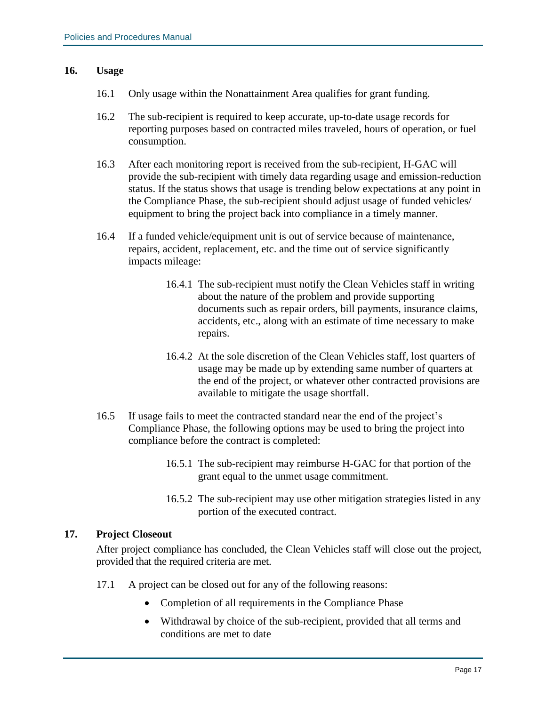#### **16. Usage**

- 16.1 Only usage within the Nonattainment Area qualifies for grant funding.
- 16.2 The sub-recipient is required to keep accurate, up-to-date usage records for reporting purposes based on contracted miles traveled, hours of operation, or fuel consumption.
- 16.3 After each monitoring report is received from the sub-recipient, H-GAC will provide the sub-recipient with timely data regarding usage and emission-reduction status. If the status shows that usage is trending below expectations at any point in the Compliance Phase, the sub-recipient should adjust usage of funded vehicles/ equipment to bring the project back into compliance in a timely manner.
- 16.4 If a funded vehicle/equipment unit is out of service because of maintenance, repairs, accident, replacement, etc. and the time out of service significantly impacts mileage:
	- 16.4.1 The sub-recipient must notify the Clean Vehicles staff in writing about the nature of the problem and provide supporting documents such as repair orders, bill payments, insurance claims, accidents, etc., along with an estimate of time necessary to make repairs.
	- 16.4.2 At the sole discretion of the Clean Vehicles staff, lost quarters of usage may be made up by extending same number of quarters at the end of the project, or whatever other contracted provisions are available to mitigate the usage shortfall.
- 16.5 If usage fails to meet the contracted standard near the end of the project's Compliance Phase, the following options may be used to bring the project into compliance before the contract is completed:
	- 16.5.1 The sub-recipient may reimburse H-GAC for that portion of the grant equal to the unmet usage commitment.
	- 16.5.2 The sub-recipient may use other mitigation strategies listed in any portion of the executed contract.

#### **17. Project Closeout**

After project compliance has concluded, the Clean Vehicles staff will close out the project, provided that the required criteria are met.

- 17.1 A project can be closed out for any of the following reasons:
	- Completion of all requirements in the Compliance Phase
	- Withdrawal by choice of the sub-recipient, provided that all terms and conditions are met to date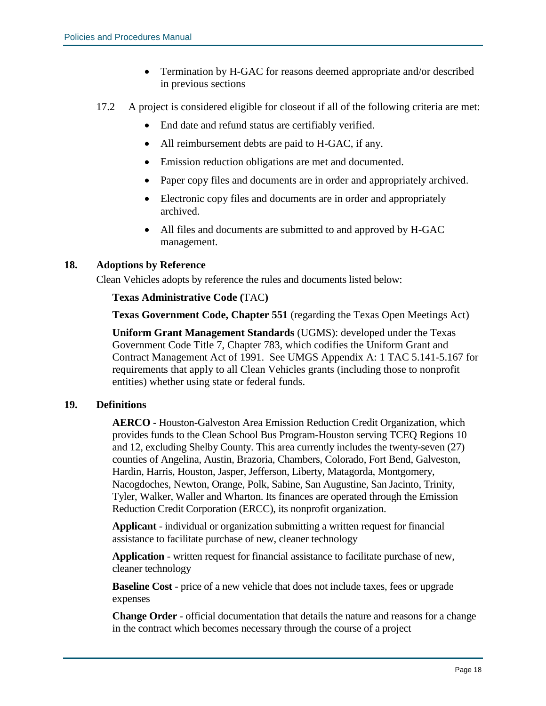- Termination by H-GAC for reasons deemed appropriate and/or described in previous sections
- 17.2 A project is considered eligible for closeout if all of the following criteria are met:
	- End date and refund status are certifiably verified.
	- All reimbursement debts are paid to H-GAC, if any.
	- Emission reduction obligations are met and documented.
	- Paper copy files and documents are in order and appropriately archived.
	- Electronic copy files and documents are in order and appropriately archived.
	- All files and documents are submitted to and approved by H-GAC management.

#### **18. Adoptions by Reference**

Clean Vehicles adopts by reference the rules and documents listed below:

#### **Texas Administrative Code (**TAC**)**

**Texas Government Code, Chapter 551** (regarding the Texas Open Meetings Act)

**Uniform Grant Management Standards** (UGMS): developed under the Texas Government Code Title 7, Chapter 783, which codifies the Uniform Grant and Contract Management Act of 1991. See UMGS Appendix A: 1 TAC 5.141-5.167 for requirements that apply to all Clean Vehicles grants (including those to nonprofit entities) whether using state or federal funds.

#### **19. Definitions**

**AERCO** - Houston-Galveston Area Emission Reduction Credit Organization, which provides funds to the Clean School Bus Program-Houston serving TCEQ Regions 10 and 12, excluding Shelby County. This area currently includes the twenty-seven (27) counties of Angelina, Austin, Brazoria, Chambers, Colorado, Fort Bend, Galveston, Hardin, Harris, Houston, Jasper, Jefferson, Liberty, Matagorda, Montgomery, Nacogdoches, Newton, Orange, Polk, Sabine, San Augustine, San Jacinto, Trinity, Tyler, Walker, Waller and Wharton. Its finances are operated through the Emission Reduction Credit Corporation (ERCC), its nonprofit organization.

**Applicant** - individual or organization submitting a written request for financial assistance to facilitate purchase of new, cleaner technology

**Application** - written request for financial assistance to facilitate purchase of new, cleaner technology

**Baseline Cost** - price of a new vehicle that does not include taxes, fees or upgrade expenses

**Change Order** - official documentation that details the nature and reasons for a change in the contract which becomes necessary through the course of a project